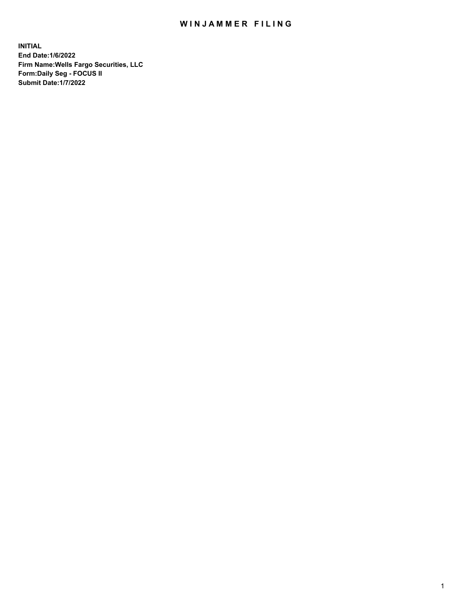## WIN JAMMER FILING

**INITIAL End Date:1/6/2022 Firm Name:Wells Fargo Securities, LLC Form:Daily Seg - FOCUS II Submit Date:1/7/2022**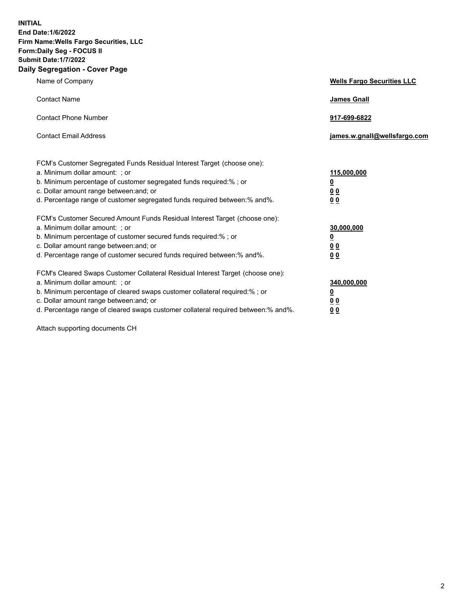**INITIAL End Date:1/6/2022 Firm Name:Wells Fargo Securities, LLC Form:Daily Seg - FOCUS II Submit Date:1/7/2022 Daily Segregation - Cover Page**

| Name of Company                                                                                                                                                                                                                                                                                                                | <b>Wells Fargo Securities LLC</b>              |
|--------------------------------------------------------------------------------------------------------------------------------------------------------------------------------------------------------------------------------------------------------------------------------------------------------------------------------|------------------------------------------------|
| <b>Contact Name</b>                                                                                                                                                                                                                                                                                                            | <b>James Gnall</b>                             |
| <b>Contact Phone Number</b>                                                                                                                                                                                                                                                                                                    | 917-699-6822                                   |
| <b>Contact Email Address</b>                                                                                                                                                                                                                                                                                                   | james.w.gnall@wellsfargo.com                   |
| FCM's Customer Segregated Funds Residual Interest Target (choose one):<br>a. Minimum dollar amount: ; or<br>b. Minimum percentage of customer segregated funds required:% ; or<br>c. Dollar amount range between: and; or                                                                                                      | 115,000,000<br><u>0</u><br>00                  |
| d. Percentage range of customer segregated funds required between:% and%.                                                                                                                                                                                                                                                      | 00                                             |
| FCM's Customer Secured Amount Funds Residual Interest Target (choose one):<br>a. Minimum dollar amount: ; or<br>b. Minimum percentage of customer secured funds required:%; or<br>c. Dollar amount range between: and; or<br>d. Percentage range of customer secured funds required between: % and %.                          | 30,000,000<br><u>0</u><br>00<br>0 <sub>0</sub> |
| FCM's Cleared Swaps Customer Collateral Residual Interest Target (choose one):<br>a. Minimum dollar amount: ; or<br>b. Minimum percentage of cleared swaps customer collateral required:% ; or<br>c. Dollar amount range between: and; or<br>d. Percentage range of cleared swaps customer collateral required between:% and%. | 340,000,000<br><u>0</u><br><u>00</u><br>00     |

Attach supporting documents CH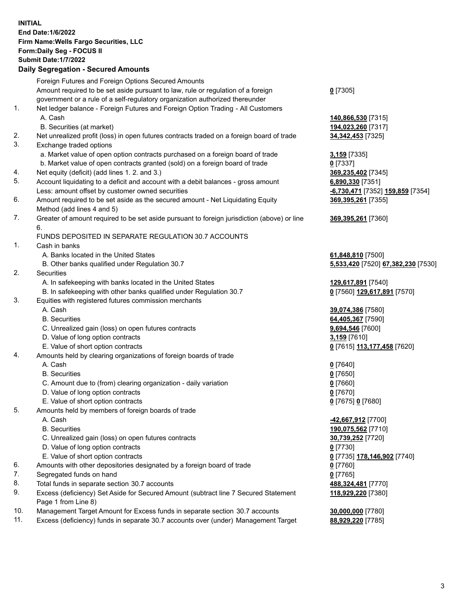**INITIAL End Date:1/6/2022 Firm Name:Wells Fargo Securities, LLC Form:Daily Seg - FOCUS II Submit Date:1/7/2022 Daily Segregation - Secured Amounts**

Foreign Futures and Foreign Options Secured Amounts Amount required to be set aside pursuant to law, rule or regulation of a foreign government or a rule of a self-regulatory organization authorized thereunder **0** [7305] 1. Net ledger balance - Foreign Futures and Foreign Option Trading - All Customers A. Cash **140,866,530** [7315] B. Securities (at market) **194,023,260** [7317] 2. Net unrealized profit (loss) in open futures contracts traded on a foreign board of trade **34,342,453** [7325] 3. Exchange traded options a. Market value of open option contracts purchased on a foreign board of trade **3,159** [7335] b. Market value of open contracts granted (sold) on a foreign board of trade **0** [7337] 4. Net equity (deficit) (add lines 1. 2. and 3.) **369,235,402** [7345] 5. Account liquidating to a deficit and account with a debit balances - gross amount **6,890,330** [7351] Less: amount offset by customer owned securities **-6,730,471** [7352] **159,859** [7354] 6. Amount required to be set aside as the secured amount - Net Liquidating Equity Method (add lines 4 and 5) **369,395,261** [7355] 7. Greater of amount required to be set aside pursuant to foreign jurisdiction (above) or line 6. **369,395,261** [7360] FUNDS DEPOSITED IN SEPARATE REGULATION 30.7 ACCOUNTS 1. Cash in banks A. Banks located in the United States **61,848,810** [7500] B. Other banks qualified under Regulation 30.7 **5,533,420** [7520] **67,382,230** [7530] 2. Securities A. In safekeeping with banks located in the United States **129,617,891** [7540] B. In safekeeping with other banks qualified under Regulation 30.7 **0** [7560] **129,617,891** [7570] 3. Equities with registered futures commission merchants A. Cash **39,074,386** [7580] B. Securities **64,405,367** [7590] C. Unrealized gain (loss) on open futures contracts **9,694,546** [7600] D. Value of long option contracts **3,159** [7610] E. Value of short option contracts **0** [7615] **113,177,458** [7620] 4. Amounts held by clearing organizations of foreign boards of trade A. Cash **0** [7640] B. Securities **0** [7650] C. Amount due to (from) clearing organization - daily variation **0** [7660] D. Value of long option contracts **0** [7670] E. Value of short option contracts **0** [7675] **0** [7680] 5. Amounts held by members of foreign boards of trade A. Cash **-42,667,912** [7700] B. Securities **190,075,562** [7710] C. Unrealized gain (loss) on open futures contracts **30,739,252** [7720] D. Value of long option contracts **0** [7730] E. Value of short option contracts **0** [7735] **178,146,902** [7740] 6. Amounts with other depositories designated by a foreign board of trade **0** [7760] 7. Segregated funds on hand **0** [7765] 8. Total funds in separate section 30.7 accounts **488,324,481** [7770] 9. Excess (deficiency) Set Aside for Secured Amount (subtract line 7 Secured Statement Page 1 from Line 8) **118,929,220** [7380] 10. Management Target Amount for Excess funds in separate section 30.7 accounts **30,000,000** [7780] 11. Excess (deficiency) funds in separate 30.7 accounts over (under) Management Target **88,929,220** [7785]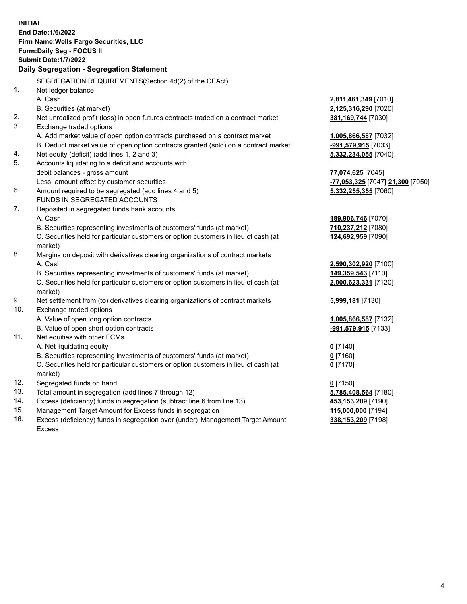|     | <b>INITIAL</b><br><b>End Date:1/6/2022</b><br>Firm Name: Wells Fargo Securities, LLC<br>Form: Daily Seg - FOCUS II<br><b>Submit Date: 1/7/2022</b><br>Daily Segregation - Segregation Statement |                                                      |
|-----|-------------------------------------------------------------------------------------------------------------------------------------------------------------------------------------------------|------------------------------------------------------|
|     | SEGREGATION REQUIREMENTS(Section 4d(2) of the CEAct)                                                                                                                                            |                                                      |
| 1.  | Net ledger balance                                                                                                                                                                              |                                                      |
|     | A. Cash                                                                                                                                                                                         | 2,811,461,349 [7010]                                 |
|     | B. Securities (at market)                                                                                                                                                                       | 2,125,316,290 [7020]                                 |
| 2.  | Net unrealized profit (loss) in open futures contracts traded on a contract market                                                                                                              | 381, 169, 744 [7030]                                 |
| 3.  | Exchange traded options                                                                                                                                                                         |                                                      |
|     | A. Add market value of open option contracts purchased on a contract market                                                                                                                     | 1,005,866,587 [7032]                                 |
|     | B. Deduct market value of open option contracts granted (sold) on a contract market                                                                                                             | -991,579,915 [7033]                                  |
| 4.  | Net equity (deficit) (add lines 1, 2 and 3)                                                                                                                                                     | 5,332,234,055 [7040]                                 |
| 5.  | Accounts liquidating to a deficit and accounts with                                                                                                                                             |                                                      |
|     | debit balances - gross amount                                                                                                                                                                   | 77,074,625 [7045]                                    |
|     | Less: amount offset by customer securities                                                                                                                                                      | <mark>-77,053,325</mark> [7047] <b>21,300</b> [7050] |
| 6.  | Amount required to be segregated (add lines 4 and 5)                                                                                                                                            | 5,332,255,355 [7060]                                 |
|     | FUNDS IN SEGREGATED ACCOUNTS                                                                                                                                                                    |                                                      |
| 7.  | Deposited in segregated funds bank accounts                                                                                                                                                     |                                                      |
|     | A. Cash                                                                                                                                                                                         | 189,906,746 [7070]                                   |
|     | B. Securities representing investments of customers' funds (at market)                                                                                                                          | 710,237,212 [7080]                                   |
|     | C. Securities held for particular customers or option customers in lieu of cash (at                                                                                                             | 124,692,959 [7090]                                   |
| 8.  | market)<br>Margins on deposit with derivatives clearing organizations of contract markets                                                                                                       |                                                      |
|     | A. Cash                                                                                                                                                                                         | 2,590,302,920 [7100]                                 |
|     | B. Securities representing investments of customers' funds (at market)                                                                                                                          | 149,359,543 [7110]                                   |
|     | C. Securities held for particular customers or option customers in lieu of cash (at                                                                                                             | 2,000,623,331 [7120]                                 |
|     | market)                                                                                                                                                                                         |                                                      |
| 9.  | Net settlement from (to) derivatives clearing organizations of contract markets                                                                                                                 | 5,999,181 [7130]                                     |
| 10. | Exchange traded options                                                                                                                                                                         |                                                      |
|     | A. Value of open long option contracts                                                                                                                                                          | 1,005,866,587 [7132]                                 |
|     | B. Value of open short option contracts                                                                                                                                                         | -991,579,915 [7133]                                  |
| 11. | Net equities with other FCMs                                                                                                                                                                    |                                                      |
|     | A. Net liquidating equity                                                                                                                                                                       | $0$ [7140]                                           |
|     | B. Securities representing investments of customers' funds (at market)                                                                                                                          | $0$ [7160]                                           |
|     | C. Securities held for particular customers or option customers in lieu of cash (at                                                                                                             | $0$ [7170]                                           |
|     | market)                                                                                                                                                                                         |                                                      |
| 12. | Segregated funds on hand                                                                                                                                                                        | $0$ [7150]                                           |
| 13. | Total amount in segregation (add lines 7 through 12)                                                                                                                                            | 5,785,408,564 [7180]                                 |
| 14. | Excess (deficiency) funds in segregation (subtract line 6 from line 13)                                                                                                                         | 453,153,209 [7190]                                   |
| 15. | Management Target Amount for Excess funds in segregation                                                                                                                                        | 115,000,000 [7194]                                   |
| 16. | Excess (deficiency) funds in segregation over (under) Management Target Amount                                                                                                                  | 338,153,209 [7198]                                   |
|     | Excess                                                                                                                                                                                          |                                                      |